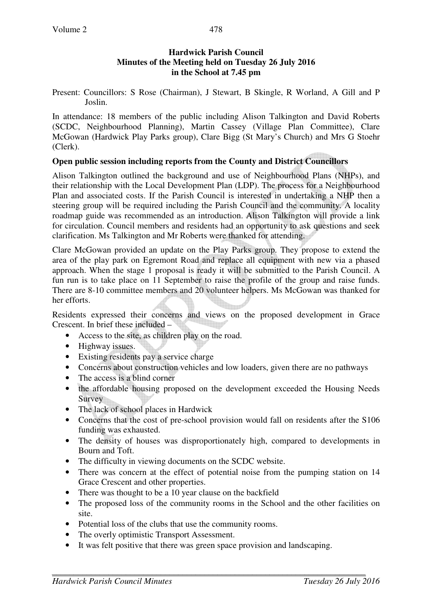### **Hardwick Parish Council Minutes of the Meeting held on Tuesday 26 July 2016 in the School at 7.45 pm**

Present: Councillors: S Rose (Chairman), J Stewart, B Skingle, R Worland, A Gill and P Joslin.

In attendance: 18 members of the public including Alison Talkington and David Roberts (SCDC, Neighbourhood Planning), Martin Cassey (Village Plan Committee), Clare McGowan (Hardwick Play Parks group), Clare Bigg (St Mary's Church) and Mrs G Stoehr (Clerk).

# **Open public session including reports from the County and District Councillors**

Alison Talkington outlined the background and use of Neighbourhood Plans (NHPs), and their relationship with the Local Development Plan (LDP). The process for a Neighbourhood Plan and associated costs. If the Parish Council is interested in undertaking a NHP then a steering group will be required including the Parish Council and the community. A locality roadmap guide was recommended as an introduction. Alison Talkington will provide a link for circulation. Council members and residents had an opportunity to ask questions and seek clarification. Ms Talkington and Mr Roberts were thanked for attending.

Clare McGowan provided an update on the Play Parks group. They propose to extend the area of the play park on Egremont Road and replace all equipment with new via a phased approach. When the stage 1 proposal is ready it will be submitted to the Parish Council. A fun run is to take place on 11 September to raise the profile of the group and raise funds. There are 8-10 committee members and 20 volunteer helpers. Ms McGowan was thanked for her efforts.

Residents expressed their concerns and views on the proposed development in Grace Crescent. In brief these included –

- Access to the site, as children play on the road.
- Highway issues.
- Existing residents pay a service charge
- Concerns about construction vehicles and low loaders, given there are no pathways
- The access is a blind corner
- the affordable housing proposed on the development exceeded the Housing Needs Survey
- The lack of school places in Hardwick
- Concerns that the cost of pre-school provision would fall on residents after the S106 funding was exhausted.
- The density of houses was disproportionately high, compared to developments in Bourn and Toft.
- The difficulty in viewing documents on the SCDC website.
- There was concern at the effect of potential noise from the pumping station on 14 Grace Crescent and other properties.
- There was thought to be a 10 year clause on the backfield
- The proposed loss of the community rooms in the School and the other facilities on site.
- Potential loss of the clubs that use the community rooms.
- The overly optimistic Transport Assessment.
- It was felt positive that there was green space provision and landscaping.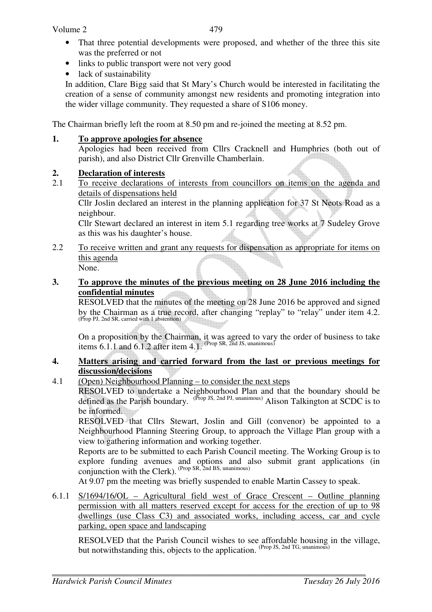- That three potential developments were proposed, and whether of the three this site was the preferred or not
- links to public transport were not very good
- lack of sustainability

In addition, Clare Bigg said that St Mary's Church would be interested in facilitating the creation of a sense of community amongst new residents and promoting integration into the wider village community. They requested a share of S106 money.

The Chairman briefly left the room at 8.50 pm and re-joined the meeting at 8.52 pm.

#### **1. To approve apologies for absence**

Apologies had been received from Cllrs Cracknell and Humphries (both out of parish), and also District Cllr Grenville Chamberlain.

### **2. Declaration of interests**

2.1 To receive declarations of interests from councillors on items on the agenda and details of dispensations held

Cllr Joslin declared an interest in the planning application for 37 St Neots Road as a neighbour.

Cllr Stewart declared an interest in item 5.1 regarding tree works at 7 Sudeley Grove as this was his daughter's house.

2.2 To receive written and grant any requests for dispensation as appropriate for items on this agenda None.

#### **3. To approve the minutes of the previous meeting on 28 June 2016 including the confidential minutes**

RESOLVED that the minutes of the meeting on 28 June 2016 be approved and signed by the Chairman as a true record, after changing "replay" to "relay" under item 4.2. (Prop PJ, 2nd SR, carried with 1 abstention)

On a proposition by the Chairman, it was agreed to vary the order of business to take items  $6.1.1$  and  $6.1.2$  after item  $4.1$ . (Prop SR, 2nd JS, unanimous)

#### **4. Matters arising and carried forward from the last or previous meetings for discussion/decisions**

4.1 (Open) Neighbourhood Planning – to consider the next steps

RESOLVED to undertake a Neighbourhood Plan and that the boundary should be defined as the Parish boundary. (Prop JS, 2nd PJ, unanimous) Alison Talkington at SCDC is to be informed.

RESOLVED that Cllrs Stewart, Joslin and Gill (convenor) be appointed to a Neighbourhood Planning Steering Group, to approach the Village Plan group with a view to gathering information and working together.

Reports are to be submitted to each Parish Council meeting. The Working Group is to explore funding avenues and options and also submit grant applications (in conjunction with the Clerk). (Prop SR, 2nd BS, unanimous)

At 9.07 pm the meeting was briefly suspended to enable Martin Cassey to speak.

6.1.1 S/1694/16/OL – Agricultural field west of Grace Crescent – Outline planning permission with all matters reserved except for access for the erection of up to 98 dwellings (use Class C3) and associated works, including access, car and cycle parking, open space and landscaping

RESOLVED that the Parish Council wishes to see affordable housing in the village, but notwithstanding this, objects to the application. (Prop JS, 2nd TG, unanimous)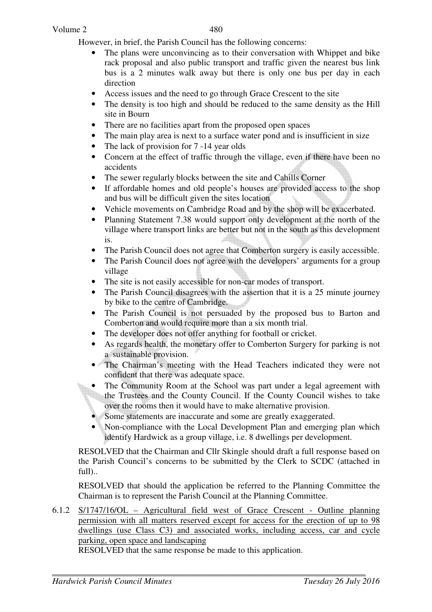However, in brief, the Parish Council has the following concerns:

- The plans were unconvincing as to their conversation with Whippet and bike rack proposal and also public transport and traffic given the nearest bus link bus is a 2 minutes walk away but there is only one bus per day in each direction
- Access issues and the need to go through Grace Crescent to the site
- The density is too high and should be reduced to the same density as the Hill site in Bourn
- There are no facilities apart from the proposed open spaces
- The main play area is next to a surface water pond and is insufficient in size
- The lack of provision for 7 -14 year olds
- Concern at the effect of traffic through the village, even if there have been no accidents
- The sewer regularly blocks between the site and Cahills Corner
- If affordable homes and old people's houses are provided access to the shop and bus will be difficult given the sites location
- Vehicle movements on Cambridge Road and by the shop will be exacerbated.
- Planning Statement 7.38 would support only development at the north of the village where transport links are better but not in the south as this development is.
- The Parish Council does not agree that Comberton surgery is easily accessible.
- The Parish Council does not agree with the developers' arguments for a group village
- The site is not easily accessible for non-car modes of transport.
- The Parish Council disagrees with the assertion that it is a 25 minute journey by bike to the centre of Cambridge.
- The Parish Council is not persuaded by the proposed bus to Barton and Comberton and would require more than a six month trial.
- The developer does not offer anything for football or cricket.
- As regards health, the monetary offer to Comberton Surgery for parking is not a sustainable provision.
- The Chairman's meeting with the Head Teachers indicated they were not confident that there was adequate space.
- The Community Room at the School was part under a legal agreement with the Trustees and the County Council. If the County Council wishes to take over the rooms then it would have to make alternative provision.
- Some statements are inaccurate and some are greatly exaggerated.
- Non-compliance with the Local Development Plan and emerging plan which identify Hardwick as a group village, i.e. 8 dwellings per development.

RESOLVED that the Chairman and Cllr Skingle should draft a full response based on the Parish Council's concerns to be submitted by the Clerk to SCDC (attached in full)..

RESOLVED that should the application be referred to the Planning Committee the Chairman is to represent the Parish Council at the Planning Committee.

6.1.2 S/1747/16/OL – Agricultural field west of Grace Crescent - Outline planning permission with all matters reserved except for access for the erection of up to 98 dwellings (use Class C3) and associated works, including access, car and cycle parking, open space and landscaping

RESOLVED that the same response be made to this application.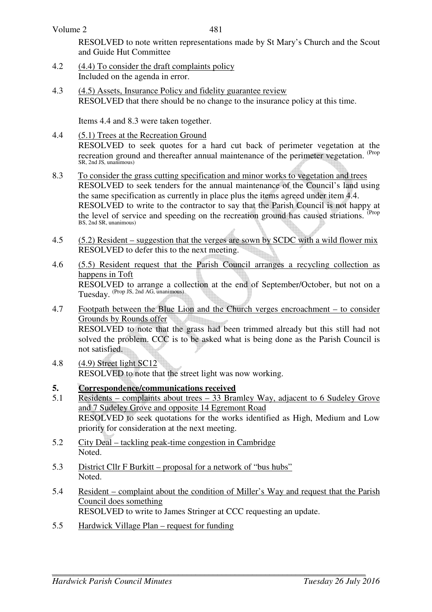RESOLVED to note written representations made by St Mary's Church and the Scout and Guide Hut Committee

- 4.2 (4.4) To consider the draft complaints policy Included on the agenda in error.
- 4.3 (4.5) Assets, Insurance Policy and fidelity guarantee review RESOLVED that there should be no change to the insurance policy at this time.

Items 4.4 and 8.3 were taken together.

- 4.4 (5.1) Trees at the Recreation Ground RESOLVED to seek quotes for a hard cut back of perimeter vegetation at the recreation ground and thereafter annual maintenance of the perimeter vegetation. <sup>(Prop</sup> SR, 2nd JS, unanimous)
- 8.3 To consider the grass cutting specification and minor works to vegetation and trees RESOLVED to seek tenders for the annual maintenance of the Council's land using the same specification as currently in place plus the items agreed under item 4.4. RESOLVED to write to the contractor to say that the Parish Council is not happy at the level of service and speeding on the recreation ground has caused striations. <sup>(Prop</sup> BS, 2nd SR, unanimous)
- 4.5 (5.2) Resident suggestion that the verges are sown by SCDC with a wild flower mix RESOLVED to defer this to the next meeting.
- 4.6 (5.5) Resident request that the Parish Council arranges a recycling collection as happens in Toft RESOLVED to arrange a collection at the end of September/October, but not on a Tuesday. (Prop JS, 2nd AG, unanimous)
- 4.7 Footpath between the Blue Lion and the Church verges encroachment to consider Grounds by Rounds offer RESOLVED to note that the grass had been trimmed already but this still had not solved the problem. CCC is to be asked what is being done as the Parish Council is not satisfied.
- 4.8 (4.9) Street light SC12 RESOLVED to note that the street light was now working.
- **5.** Correspondence/communications received<br>5.1 Residents complaints about trees 33 Brau
- $Residents complains about trees 33 Bramley Way, adjacent to 6 Sudeley Grove$ and 7 Sudeley Grove and opposite 14 Egremont Road RESOLVED to seek quotations for the works identified as High, Medium and Low priority for consideration at the next meeting.
- 5.2 City Deal tackling peak-time congestion in Cambridge Noted.
- 5.3 District Cllr F Burkitt proposal for a network of "bus hubs" Noted.
- 5.4 Resident complaint about the condition of Miller's Way and request that the Parish Council does something RESOLVED to write to James Stringer at CCC requesting an update.
- 5.5 Hardwick Village Plan request for funding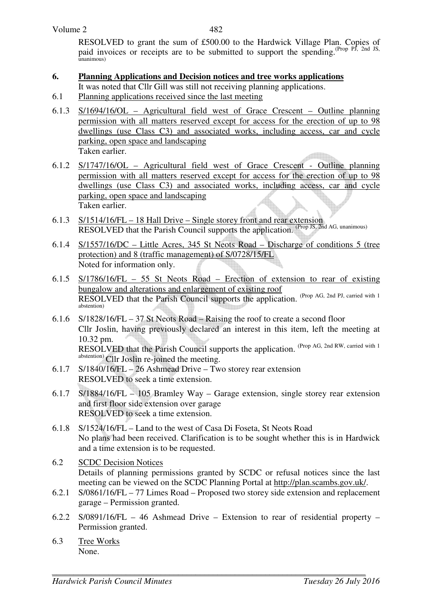RESOLVED to grant the sum of £500.00 to the Hardwick Village Plan. Copies of paid invoices or receipts are to be submitted to support the spending.<sup>(Prop PJ, 2nd JS,</sup>  $\Gamma$ unanimous)

## **6. Planning Applications and Decision notices and tree works applications**

- It was noted that Cllr Gill was still not receiving planning applications.
- 6.1 Planning applications received since the last meeting
- 6.1.3 S/1694/16/OL Agricultural field west of Grace Crescent Outline planning permission with all matters reserved except for access for the erection of up to 98 dwellings (use Class C3) and associated works, including access, car and cycle parking, open space and landscaping Taken earlier.
- 6.1.2 S/1747/16/OL Agricultural field west of Grace Crescent Outline planning permission with all matters reserved except for access for the erection of up to 98 dwellings (use Class C3) and associated works, including access, car and cycle parking, open space and landscaping Taken earlier.
- 6.1.3 S/1514/16/FL 18 Hall Drive Single storey front and rear extension RESOLVED that the Parish Council supports the application. (Prop JS, 2nd AG, unanimous)
- 6.1.4 S/1557/16/DC Little Acres, 345 St Neots Road Discharge of conditions 5 (tree protection) and 8 (traffic management) of S/0728/15/FL Noted for information only.
- 6.1.5 S/1786/16/FL 55 St Neots Road Erection of extension to rear of existing bungalow and alterations and enlargement of existing roof RESOLVED that the Parish Council supports the application. (Prop AG, 2nd PJ, carried with 1) abstention)
- 6.1.6 S/1828/16/FL 37 St Neots Road Raising the roof to create a second floor Cllr Joslin, having previously declared an interest in this item, left the meeting at 10.32 pm. RESOLVED that the Parish Council supports the application. (Prop AG, 2nd RW, carried with 1) abstention) Cllr Joslin re-joined the meeting.
- 6.1.7 S/1840/16/FL 26 Ashmead Drive Two storey rear extension RESOLVED to seek a time extension.
- 6.1.7 S/1884/16/FL 105 Bramley Way Garage extension, single storey rear extension and first floor side extension over garage RESOLVED to seek a time extension.
- 6.1.8 S/1524/16/FL Land to the west of Casa Di Foseta, St Neots Road No plans had been received. Clarification is to be sought whether this is in Hardwick and a time extension is to be requested.
- 6.2 SCDC Decision Notices Details of planning permissions granted by SCDC or refusal notices since the last meeting can be viewed on the SCDC Planning Portal at http://plan.scambs.gov.uk/.
- 6.2.1 S/0861/16/FL 77 Limes Road Proposed two storey side extension and replacement garage – Permission granted.
- 6.2.2 S/0891/16/FL 46 Ashmead Drive Extension to rear of residential property Permission granted.
- 6.3 Tree Works None.